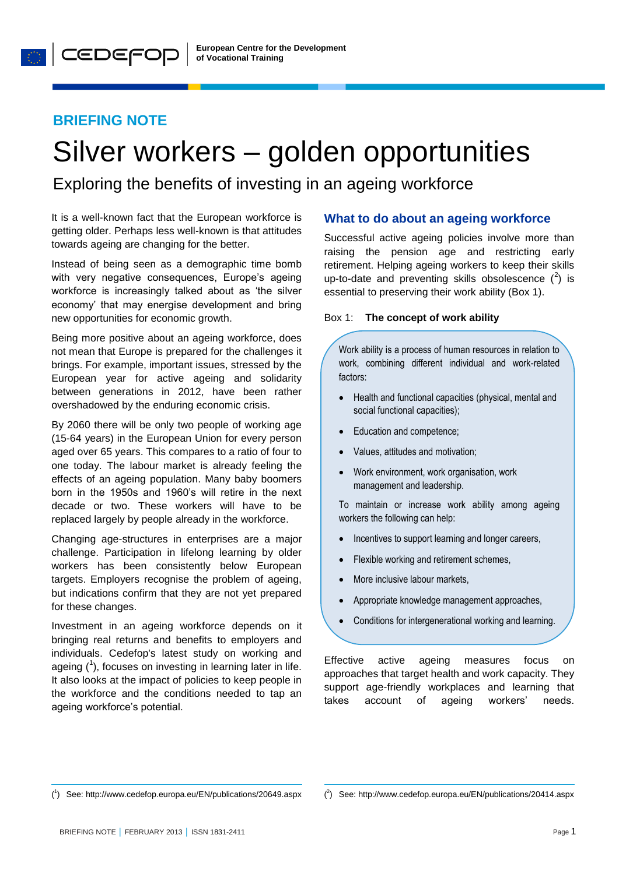

# **BRIEFING NOTE**

CEDEFOP

# Silver workers – golden opportunities

Exploring the benefits of investing in an ageing workforce

It is a well-known fact that the European workforce is getting older. Perhaps less well-known is that attitudes towards ageing are changing for the better.

Instead of being seen as a demographic time bomb with very negative consequences, Europe's ageing workforce is increasingly talked about as 'the silver economy' that may energise development and bring new opportunities for economic growth.

Being more positive about an ageing workforce, does not mean that Europe is prepared for the challenges it brings. For example, important issues, stressed by the European year for active ageing and solidarity between generations in 2012, have been rather overshadowed by the enduring economic crisis.

By 2060 there will be only two people of working age (15-64 years) in the European Union for every person aged over 65 years. This compares to a ratio of four to one today. The labour market is already feeling the effects of an ageing population. Many baby boomers born in the 1950s and 1960's will retire in the next decade or two. These workers will have to be replaced largely by people already in the workforce.

Changing age-structures in enterprises are a major challenge. Participation in lifelong learning by older workers has been consistently below European targets. Employers recognise the problem of ageing, but indications confirm that they are not yet prepared for these changes.

Investment in an ageing workforce depends on it bringing real returns and benefits to employers and individuals. Cedefop's latest study on working and ageing ( $^1$ ), focuses on investing in learning later in life. It also looks at the impact of policies to keep people in the workforce and the conditions needed to tap an ageing workforce's potential.

# **What to do about an ageing workforce**

Successful active ageing policies involve more than raising the pension age and restricting early retirement. Helping ageing workers to keep their skills up-to-date and preventing skills obsolescence  $(^2)$  is essential to preserving their work ability (Box 1).

#### Box 1: **The concept of work ability**

Work ability is a process of human resources in relation to work, combining different individual and work-related factors:

- Health and functional capacities (physical, mental and social functional capacities);
- Education and competence;
- Values, attitudes and motivation;
- Work environment, work organisation, work management and leadership.

To maintain or increase work ability among ageing workers the following can help:

- Incentives to support learning and longer careers,
- Flexible working and retirement schemes,
- More inclusive labour markets,

1

- Appropriate knowledge management approaches,
- Conditions for intergenerational working and learning.

Effective active ageing measures focus on approaches that target health and work capacity. They support age-friendly workplaces and learning that takes account of ageing workers' needs.

 $\overline{a}$ 

<sup>(</sup> 1 ) See[: http://www.cedefop.europa.eu/EN/publications/20649.aspx](http://www.cedefop.europa.eu/EN/publications/20649.aspx)

<sup>(</sup> 2 ) See: http://www.cedefop.europa.eu/EN/publications/20414.aspx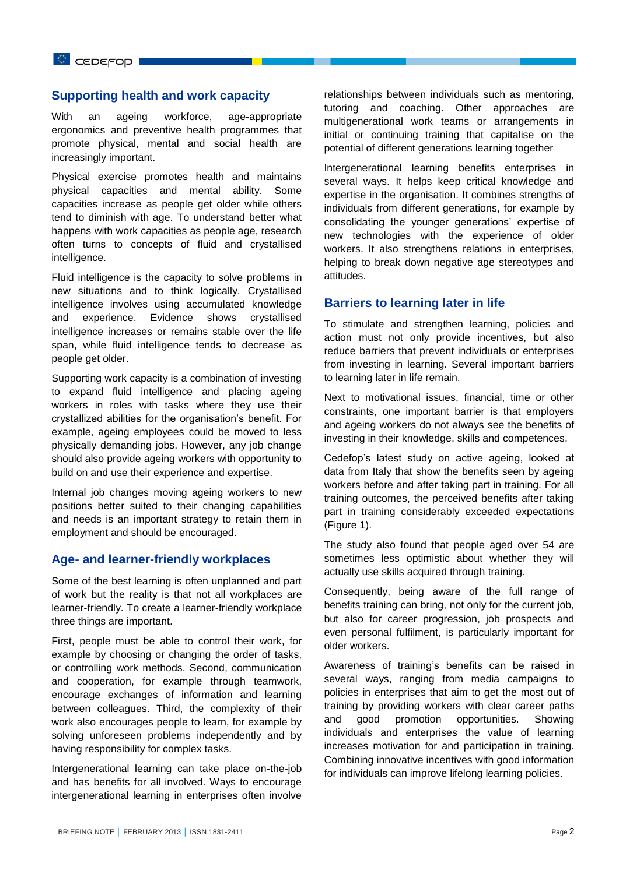### **Supporting health and work capacity**

With an ageing workforce, age-appropriate ergonomics and preventive health programmes that promote physical, mental and social health are increasingly important.

Physical exercise promotes health and maintains physical capacities and mental ability. Some capacities increase as people get older while others tend to diminish with age. To understand better what happens with work capacities as people age, research often turns to concepts of fluid and crystallised intelligence.

Fluid intelligence is the capacity to solve problems in new situations and to think logically. Crystallised intelligence involves using accumulated knowledge and experience. Evidence shows crystallised intelligence increases or remains stable over the life span, while fluid intelligence tends to decrease as people get older.

Supporting work capacity is a combination of investing to expand fluid intelligence and placing ageing workers in roles with tasks where they use their crystallized abilities for the organisation's benefit. For example, ageing employees could be moved to less physically demanding jobs. However, any job change should also provide ageing workers with opportunity to build on and use their experience and expertise.

Internal job changes moving ageing workers to new positions better suited to their changing capabilities and needs is an important strategy to retain them in employment and should be encouraged.

#### **Age- and learner-friendly workplaces**

Some of the best learning is often unplanned and part of work but the reality is that not all workplaces are learner-friendly. To create a learner-friendly workplace three things are important.

First, people must be able to control their work, for example by choosing or changing the order of tasks, or controlling work methods. Second, communication and cooperation, for example through teamwork, encourage exchanges of information and learning between colleagues. Third, the complexity of their work also encourages people to learn, for example by solving unforeseen problems independently and by having responsibility for complex tasks.

Intergenerational learning can take place on-the-job and has benefits for all involved. Ways to encourage intergenerational learning in enterprises often involve

relationships between individuals such as mentoring, tutoring and coaching. Other approaches are multigenerational work teams or arrangements in initial or continuing training that capitalise on the potential of different generations learning together

Intergenerational learning benefits enterprises in several ways. It helps keep critical knowledge and expertise in the organisation. It combines strengths of individuals from different generations, for example by consolidating the younger generations' expertise of new technologies with the experience of older workers. It also strengthens relations in enterprises, helping to break down negative age stereotypes and attitudes.

#### **Barriers to learning later in life**

To stimulate and strengthen learning, policies and action must not only provide incentives, but also reduce barriers that prevent individuals or enterprises from investing in learning. Several important barriers to learning later in life remain.

Next to motivational issues, financial, time or other constraints, one important barrier is that employers and ageing workers do not always see the benefits of investing in their knowledge, skills and competences.

Cedefop's latest study on active ageing, looked at data from Italy that show the benefits seen by ageing workers before and after taking part in training. For all training outcomes, the perceived benefits after taking part in training considerably exceeded expectations (Figure 1).

The study also found that people aged over 54 are sometimes less optimistic about whether they will actually use skills acquired through training.

Consequently, being aware of the full range of benefits training can bring, not only for the current job, but also for career progression, job prospects and even personal fulfilment, is particularly important for older workers.

Awareness of training's benefits can be raised in several ways, ranging from media campaigns to policies in enterprises that aim to get the most out of training by providing workers with clear career paths and good promotion opportunities. Showing individuals and enterprises the value of learning increases motivation for and participation in training. Combining innovative incentives with good information for individuals can improve lifelong learning policies.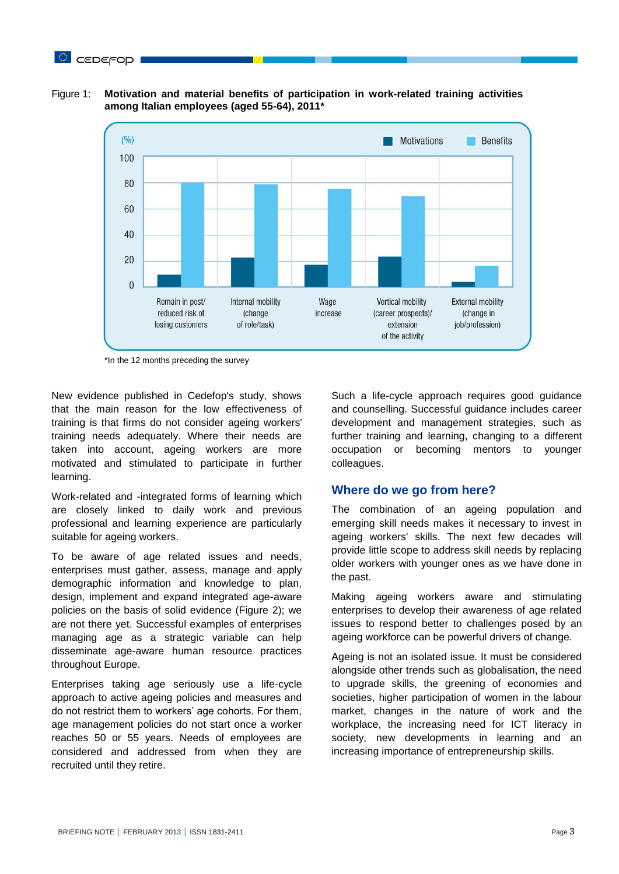#### Figure 1: **Motivation and material benefits of participation in work-related training activities among Italian employees (aged 55-64), 2011\***



\*In the 12 months preceding the survey

New evidence published in Cedefop's study, shows that the main reason for the low effectiveness of training is that firms do not consider ageing workers' training needs adequately. Where their needs are taken into account, ageing workers are more motivated and stimulated to participate in further learning.

Work-related and -integrated forms of learning which are closely linked to daily work and previous professional and learning experience are particularly suitable for ageing workers.

To be aware of age related issues and needs, enterprises must gather, assess, manage and apply demographic information and knowledge to plan, design, implement and expand integrated age-aware policies on the basis of solid evidence (Figure 2); we are not there yet. Successful examples of enterprises managing age as a strategic variable can help disseminate age-aware human resource practices throughout Europe.

Enterprises taking age seriously use a life-cycle approach to active ageing policies and measures and do not restrict them to workers' age cohorts. For them, age management policies do not start once a worker reaches 50 or 55 years. Needs of employees are considered and addressed from when they are recruited until they retire.

Such a life-cycle approach requires good guidance and counselling. Successful guidance includes career development and management strategies, such as further training and learning, changing to a different occupation or becoming mentors to younger colleagues.

## **Where do we go from here?**

The combination of an ageing population and emerging skill needs makes it necessary to invest in ageing workers' skills. The next few decades will provide little scope to address skill needs by replacing older workers with younger ones as we have done in the past.

Making ageing workers aware and stimulating enterprises to develop their awareness of age related issues to respond better to challenges posed by an ageing workforce can be powerful drivers of change.

Ageing is not an isolated issue. It must be considered alongside other trends such as globalisation, the need to upgrade skills, the greening of economies and societies, higher participation of women in the labour market, changes in the nature of work and the workplace, the increasing need for ICT literacy in society, new developments in learning and an increasing importance of entrepreneurship skills.